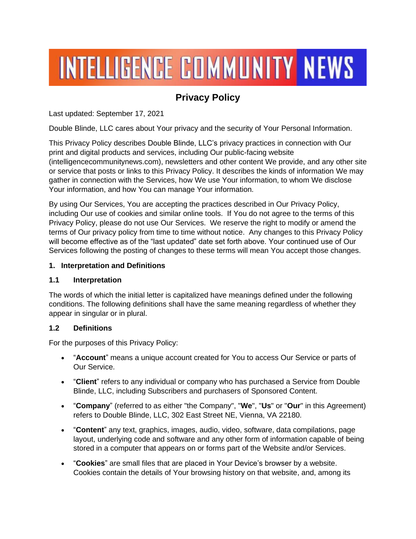# **INTELLIGENCE COMMUNITY NEWS**

# **Privacy Policy**

Last updated: September 17, 2021

Double Blinde, LLC cares about Your privacy and the security of Your Personal Information.

This Privacy Policy describes Double Blinde, LLC's privacy practices in connection with Our print and digital products and services, including Our public-facing website (intelligencecommunitynews.com), newsletters and other content We provide, and any other site or service that posts or links to this Privacy Policy. It describes the kinds of information We may gather in connection with the Services, how We use Your information, to whom We disclose Your information, and how You can manage Your information.

By using Our Services, You are accepting the practices described in Our Privacy Policy, including Our use of cookies and similar online tools. If You do not agree to the terms of this Privacy Policy, please do not use Our Services. We reserve the right to modify or amend the terms of Our privacy policy from time to time without notice. Any changes to this Privacy Policy will become effective as of the "last updated" date set forth above. Your continued use of Our Services following the posting of changes to these terms will mean You accept those changes.

#### **1. Interpretation and Definitions**

#### **1.1 Interpretation**

The words of which the initial letter is capitalized have meanings defined under the following conditions. The following definitions shall have the same meaning regardless of whether they appear in singular or in plural.

#### **1.2 Definitions**

For the purposes of this Privacy Policy:

- "**Account**" means a unique account created for You to access Our Service or parts of Our Service.
- "**Client**" refers to any individual or company who has purchased a Service from Double Blinde, LLC, including Subscribers and purchasers of Sponsored Content.
- "**Company**" (referred to as either "the Company", "**We**", "**Us**" or "**Our**" in this Agreement) refers to Double Blinde, LLC, 302 East Street NE, Vienna, VA 22180.
- "**Content**" any text, graphics, images, audio, video, software, data compilations, page layout, underlying code and software and any other form of information capable of being stored in a computer that appears on or forms part of the Website and/or Services.
- "**Cookies**" are small files that are placed in Your Device's browser by a website. Cookies contain the details of Your browsing history on that website, and, among its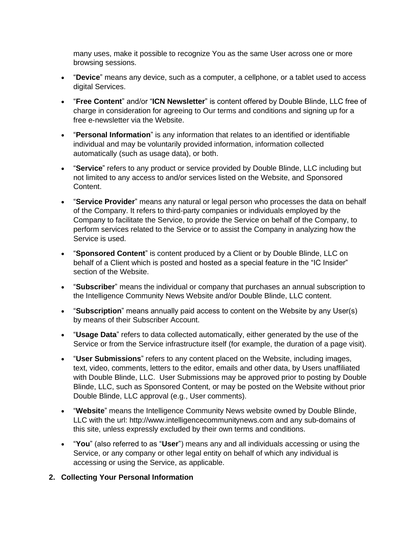many uses, make it possible to recognize You as the same User across one or more browsing sessions.

- "**Device**" means any device, such as a computer, a cellphone, or a tablet used to access digital Services.
- "**Free Content**" and/or "**ICN Newsletter**" is content offered by Double Blinde, LLC free of charge in consideration for agreeing to Our terms and conditions and signing up for a free e-newsletter via the Website.
- "**Personal Information**" is any information that relates to an identified or identifiable individual and may be voluntarily provided information, information collected automatically (such as usage data), or both.
- "**Service**" refers to any product or service provided by Double Blinde, LLC including but not limited to any access to and/or services listed on the Website, and Sponsored Content.
- "**Service Provider**" means any natural or legal person who processes the data on behalf of the Company. It refers to third-party companies or individuals employed by the Company to facilitate the Service, to provide the Service on behalf of the Company, to perform services related to the Service or to assist the Company in analyzing how the Service is used.
- "**Sponsored Content**" is content produced by a Client or by Double Blinde, LLC on behalf of a Client which is posted and hosted as a special feature in the "IC Insider" section of the Website.
- "**Subscriber**" means the individual or company that purchases an annual subscription to the Intelligence Community News Website and/or Double Blinde, LLC content.
- "**Subscription**" means annually paid access to content on the Website by any User(s) by means of their Subscriber Account.
- "**Usage Data**" refers to data collected automatically, either generated by the use of the Service or from the Service infrastructure itself (for example, the duration of a page visit).
- "**User Submissions**" refers to any content placed on the Website, including images, text, video, comments, letters to the editor, emails and other data, by Users unaffiliated with Double Blinde, LLC. User Submissions may be approved prior to posting by Double Blinde, LLC, such as Sponsored Content, or may be posted on the Website without prior Double Blinde, LLC approval (e.g., User comments).
- "**Website**" means the Intelligence Community News website owned by Double Blinde, LLC with the url: http://www.intelligencecommunitynews.com and any sub-domains of this site, unless expressly excluded by their own terms and conditions.
- "**You**" (also referred to as "**User**") means any and all individuals accessing or using the Service, or any company or other legal entity on behalf of which any individual is accessing or using the Service, as applicable.

#### **2. Collecting Your Personal Information**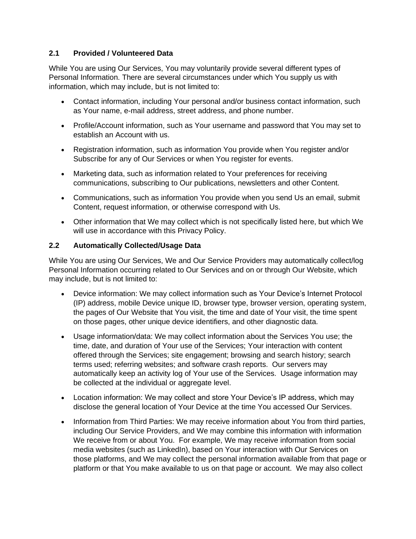#### **2.1 Provided / Volunteered Data**

While You are using Our Services, You may voluntarily provide several different types of Personal Information. There are several circumstances under which You supply us with information, which may include, but is not limited to:

- Contact information, including Your personal and/or business contact information, such as Your name, e-mail address, street address, and phone number.
- Profile/Account information, such as Your username and password that You may set to establish an Account with us.
- Registration information, such as information You provide when You register and/or Subscribe for any of Our Services or when You register for events.
- Marketing data, such as information related to Your preferences for receiving communications, subscribing to Our publications, newsletters and other Content.
- Communications, such as information You provide when you send Us an email, submit Content, request information, or otherwise correspond with Us.
- Other information that We may collect which is not specifically listed here, but which We will use in accordance with this Privacy Policy.

#### **2.2 Automatically Collected/Usage Data**

While You are using Our Services, We and Our Service Providers may automatically collect/log Personal Information occurring related to Our Services and on or through Our Website, which may include, but is not limited to:

- Device information: We may collect information such as Your Device's Internet Protocol (IP) address, mobile Device unique ID, browser type, browser version, operating system, the pages of Our Website that You visit, the time and date of Your visit, the time spent on those pages, other unique device identifiers, and other diagnostic data.
- Usage information/data: We may collect information about the Services You use; the time, date, and duration of Your use of the Services; Your interaction with content offered through the Services; site engagement; browsing and search history; search terms used; referring websites; and software crash reports. Our servers may automatically keep an activity log of Your use of the Services. Usage information may be collected at the individual or aggregate level.
- Location information: We may collect and store Your Device's IP address, which may disclose the general location of Your Device at the time You accessed Our Services.
- Information from Third Parties: We may receive information about You from third parties, including Our Service Providers, and We may combine this information with information We receive from or about You. For example, We may receive information from social media websites (such as LinkedIn), based on Your interaction with Our Services on those platforms, and We may collect the personal information available from that page or platform or that You make available to us on that page or account. We may also collect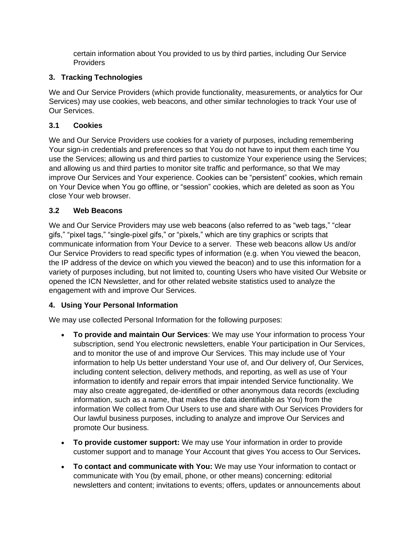certain information about You provided to us by third parties, including Our Service **Providers** 

# **3. Tracking Technologies**

We and Our Service Providers (which provide functionality, measurements, or analytics for Our Services) may use cookies, web beacons, and other similar technologies to track Your use of Our Services.

# **3.1 Cookies**

We and Our Service Providers use cookies for a variety of purposes, including remembering Your sign-in credentials and preferences so that You do not have to input them each time You use the Services; allowing us and third parties to customize Your experience using the Services; and allowing us and third parties to monitor site traffic and performance, so that We may improve Our Services and Your experience. Cookies can be "persistent" cookies, which remain on Your Device when You go offline, or "session" cookies, which are deleted as soon as You close Your web browser.

# **3.2 Web Beacons**

We and Our Service Providers may use web beacons (also referred to as "web tags," "clear gifs," "pixel tags," "single-pixel gifs," or "pixels," which are tiny graphics or scripts that communicate information from Your Device to a server. These web beacons allow Us and/or Our Service Providers to read specific types of information (e.g. when You viewed the beacon, the IP address of the device on which you viewed the beacon) and to use this information for a variety of purposes including, but not limited to, counting Users who have visited Our Website or opened the ICN Newsletter, and for other related website statistics used to analyze the engagement with and improve Our Services.

# **4. Using Your Personal Information**

We may use collected Personal Information for the following purposes:

- **To provide and maintain Our Services**: We may use Your information to process Your subscription, send You electronic newsletters, enable Your participation in Our Services, and to monitor the use of and improve Our Services. This may include use of Your information to help Us better understand Your use of, and Our delivery of, Our Services, including content selection, delivery methods, and reporting, as well as use of Your information to identify and repair errors that impair intended Service functionality. We may also create aggregated, de-identified or other anonymous data records (excluding information, such as a name, that makes the data identifiable as You) from the information We collect from Our Users to use and share with Our Services Providers for Our lawful business purposes, including to analyze and improve Our Services and promote Our business.
- **To provide customer support:** We may use Your information in order to provide customer support and to manage Your Account that gives You access to Our Services**.**
- **To contact and communicate with You:** We may use Your information to contact or communicate with You (by email, phone, or other means) concerning: editorial newsletters and content; invitations to events; offers, updates or announcements about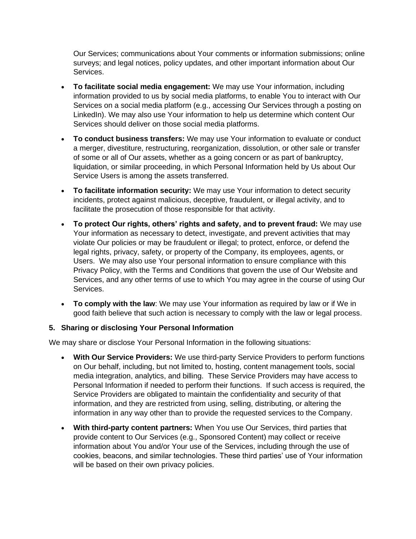Our Services; communications about Your comments or information submissions; online surveys; and legal notices, policy updates, and other important information about Our Services.

- **To facilitate social media engagement:** We may use Your information, including information provided to us by social media platforms, to enable You to interact with Our Services on a social media platform (e.g., accessing Our Services through a posting on LinkedIn). We may also use Your information to help us determine which content Our Services should deliver on those social media platforms.
- **To conduct business transfers:** We may use Your information to evaluate or conduct a merger, divestiture, restructuring, reorganization, dissolution, or other sale or transfer of some or all of Our assets, whether as a going concern or as part of bankruptcy, liquidation, or similar proceeding, in which Personal Information held by Us about Our Service Users is among the assets transferred.
- **To facilitate information security:** We may use Your information to detect security incidents, protect against malicious, deceptive, fraudulent, or illegal activity, and to facilitate the prosecution of those responsible for that activity.
- **To protect Our rights, others' rights and safety, and to prevent fraud:** We may use Your information as necessary to detect, investigate, and prevent activities that may violate Our policies or may be fraudulent or illegal; to protect, enforce, or defend the legal rights, privacy, safety, or property of the Company, its employees, agents, or Users. We may also use Your personal information to ensure compliance with this Privacy Policy, with the Terms and Conditions that govern the use of Our Website and Services, and any other terms of use to which You may agree in the course of using Our Services.
- **To comply with the law**: We may use Your information as required by law or if We in good faith believe that such action is necessary to comply with the law or legal process.

#### **5. Sharing or disclosing Your Personal Information**

We may share or disclose Your Personal Information in the following situations:

- **With Our Service Providers:** We use third-party Service Providers to perform functions on Our behalf, including, but not limited to, hosting, content management tools, social media integration, analytics, and billing. These Service Providers may have access to Personal Information if needed to perform their functions. If such access is required, the Service Providers are obligated to maintain the confidentiality and security of that information, and they are restricted from using, selling, distributing, or altering the information in any way other than to provide the requested services to the Company.
- **With third-party content partners:** When You use Our Services, third parties that provide content to Our Services (e.g., Sponsored Content) may collect or receive information about You and/or Your use of the Services, including through the use of cookies, beacons, and similar technologies. These third parties' use of Your information will be based on their own privacy policies.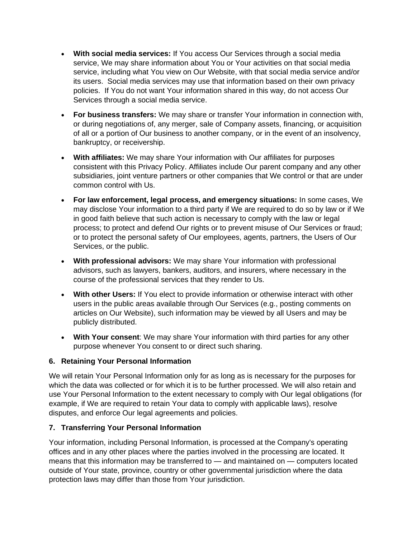- **With social media services:** If You access Our Services through a social media service, We may share information about You or Your activities on that social media service, including what You view on Our Website, with that social media service and/or its users. Social media services may use that information based on their own privacy policies. If You do not want Your information shared in this way, do not access Our Services through a social media service.
- **For business transfers:** We may share or transfer Your information in connection with, or during negotiations of, any merger, sale of Company assets, financing, or acquisition of all or a portion of Our business to another company, or in the event of an insolvency, bankruptcy, or receivership.
- **With affiliates:** We may share Your information with Our affiliates for purposes consistent with this Privacy Policy. Affiliates include Our parent company and any other subsidiaries, joint venture partners or other companies that We control or that are under common control with Us.
- **For law enforcement, legal process, and emergency situations:** In some cases, We may disclose Your information to a third party if We are required to do so by law or if We in good faith believe that such action is necessary to comply with the law or legal process; to protect and defend Our rights or to prevent misuse of Our Services or fraud; or to protect the personal safety of Our employees, agents, partners, the Users of Our Services, or the public.
- **With professional advisors:** We may share Your information with professional advisors, such as lawyers, bankers, auditors, and insurers, where necessary in the course of the professional services that they render to Us.
- **With other Users:** If You elect to provide information or otherwise interact with other users in the public areas available through Our Services (e.g., posting comments on articles on Our Website), such information may be viewed by all Users and may be publicly distributed.
- **With Your consent**: We may share Your information with third parties for any other purpose whenever You consent to or direct such sharing.

#### **6. Retaining Your Personal Information**

We will retain Your Personal Information only for as long as is necessary for the purposes for which the data was collected or for which it is to be further processed. We will also retain and use Your Personal Information to the extent necessary to comply with Our legal obligations (for example, if We are required to retain Your data to comply with applicable laws), resolve disputes, and enforce Our legal agreements and policies.

#### **7. Transferring Your Personal Information**

Your information, including Personal Information, is processed at the Company's operating offices and in any other places where the parties involved in the processing are located. It means that this information may be transferred to — and maintained on — computers located outside of Your state, province, country or other governmental jurisdiction where the data protection laws may differ than those from Your jurisdiction.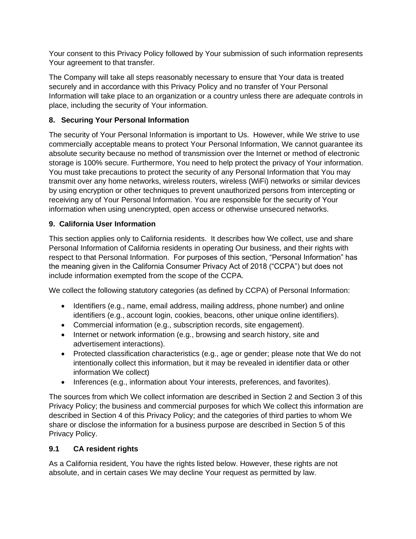Your consent to this Privacy Policy followed by Your submission of such information represents Your agreement to that transfer.

The Company will take all steps reasonably necessary to ensure that Your data is treated securely and in accordance with this Privacy Policy and no transfer of Your Personal Information will take place to an organization or a country unless there are adequate controls in place, including the security of Your information.

# **8. Securing Your Personal Information**

The security of Your Personal Information is important to Us. However, while We strive to use commercially acceptable means to protect Your Personal Information, We cannot guarantee its absolute security because no method of transmission over the Internet or method of electronic storage is 100% secure. Furthermore, You need to help protect the privacy of Your information. You must take precautions to protect the security of any Personal Information that You may transmit over any home networks, wireless routers, wireless (WiFi) networks or similar devices by using encryption or other techniques to prevent unauthorized persons from intercepting or receiving any of Your Personal Information. You are responsible for the security of Your information when using unencrypted, open access or otherwise unsecured networks.

# **9. California User Information**

This section applies only to California residents. It describes how We collect, use and share Personal Information of California residents in operating Our business, and their rights with respect to that Personal Information. For purposes of this section, "Personal Information" has the meaning given in the California Consumer Privacy Act of 2018 ("CCPA") but does not include information exempted from the scope of the CCPA.

We collect the following statutory categories (as defined by CCPA) of Personal Information:

- Identifiers (e.g., name, email address, mailing address, phone number) and online identifiers (e.g., account login, cookies, beacons, other unique online identifiers).
- Commercial information (e.g., subscription records, site engagement).
- Internet or network information (e.g., browsing and search history, site and advertisement interactions).
- Protected classification characteristics (e.g., age or gender; please note that We do not intentionally collect this information, but it may be revealed in identifier data or other information We collect)
- Inferences (e.g., information about Your interests, preferences, and favorites).

The sources from which We collect information are described in Section 2 and Section 3 of this Privacy Policy; the business and commercial purposes for which We collect this information are described in Section 4 of this Privacy Policy; and the categories of third parties to whom We share or disclose the information for a business purpose are described in Section 5 of this Privacy Policy.

# **9.1 CA resident rights**

As a California resident, You have the rights listed below. However, these rights are not absolute, and in certain cases We may decline Your request as permitted by law.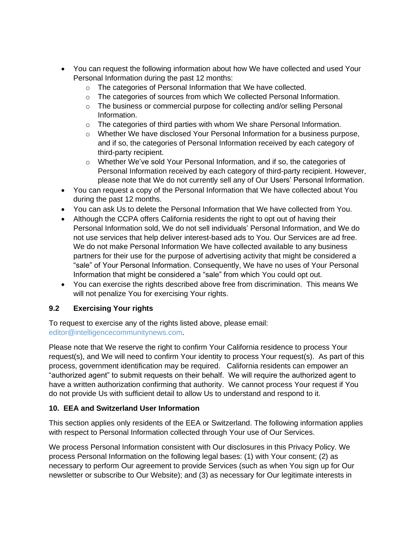- You can request the following information about how We have collected and used Your Personal Information during the past 12 months:
	- o The categories of Personal Information that We have collected.
	- $\circ$  The categories of sources from which We collected Personal Information.
	- $\circ$  The business or commercial purpose for collecting and/or selling Personal Information.
	- $\circ$  The categories of third parties with whom We share Personal Information.
	- $\circ$  Whether We have disclosed Your Personal Information for a business purpose, and if so, the categories of Personal Information received by each category of third-party recipient.
	- o Whether We've sold Your Personal Information, and if so, the categories of Personal Information received by each category of third-party recipient. However, please note that We do not currently sell any of Our Users' Personal Information.
- You can request a copy of the Personal Information that We have collected about You during the past 12 months.
- You can ask Us to delete the Personal Information that We have collected from You.
- Although the CCPA offers California residents the right to opt out of having their Personal Information sold, We do not sell individuals' Personal Information, and We do not use services that help deliver interest-based ads to You. Our Services are ad free. We do not make Personal Information We have collected available to any business partners for their use for the purpose of advertising activity that might be considered a "sale" of Your Personal Information. Consequently, We have no uses of Your Personal Information that might be considered a "sale" from which You could opt out.
- You can exercise the rights described above free from discrimination. This means We will not penalize You for exercising Your rights.

# **9.2 Exercising Your rights**

To request to exercise any of the rights listed above, please email: editor@intelligencecommunitynews.com.

Please note that We reserve the right to confirm Your California residence to process Your request(s), and We will need to confirm Your identity to process Your request(s). As part of this process, government identification may be required. California residents can empower an "authorized agent" to submit requests on their behalf. We will require the authorized agent to have a written authorization confirming that authority. We cannot process Your request if You do not provide Us with sufficient detail to allow Us to understand and respond to it.

# **10. EEA and Switzerland User Information**

This section applies only residents of the EEA or Switzerland. The following information applies with respect to Personal Information collected through Your use of Our Services.

We process Personal Information consistent with Our disclosures in this Privacy Policy. We process Personal Information on the following legal bases: (1) with Your consent; (2) as necessary to perform Our agreement to provide Services (such as when You sign up for Our newsletter or subscribe to Our Website); and (3) as necessary for Our legitimate interests in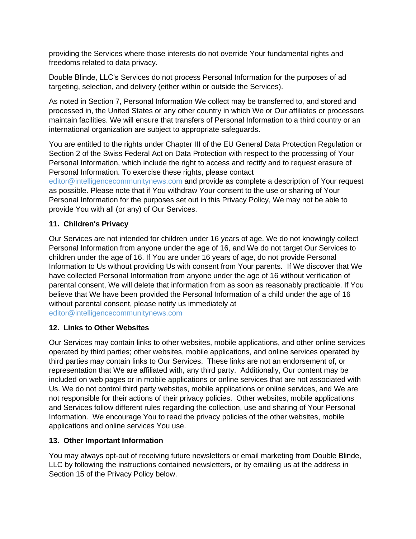providing the Services where those interests do not override Your fundamental rights and freedoms related to data privacy.

Double Blinde, LLC's Services do not process Personal Information for the purposes of ad targeting, selection, and delivery (either within or outside the Services).

As noted in Section 7, Personal Information We collect may be transferred to, and stored and processed in, the United States or any other country in which We or Our affiliates or processors maintain facilities. We will ensure that transfers of Personal Information to a third country or an international organization are subject to appropriate safeguards.

You are entitled to the rights under Chapter III of the EU General Data Protection Regulation or Section 2 of the Swiss Federal Act on Data Protection with respect to the processing of Your Personal Information, which include the right to access and rectify and to request erasure of Personal Information. To exercise these rights, please contact

editor@intelligencecommunitynews.com and provide as complete a description of Your request as possible. Please note that if You withdraw Your consent to the use or sharing of Your Personal Information for the purposes set out in this Privacy Policy, We may not be able to provide You with all (or any) of Our Services.

#### **11. Children's Privacy**

Our Services are not intended for children under 16 years of age. We do not knowingly collect Personal Information from anyone under the age of 16, and We do not target Our Services to children under the age of 16. If You are under 16 years of age, do not provide Personal Information to Us without providing Us with consent from Your parents. If We discover that We have collected Personal Information from anyone under the age of 16 without verification of parental consent, We will delete that information from as soon as reasonably practicable. If You believe that We have been provided the Personal Information of a child under the age of 16 without parental consent, please notify us immediately at editor@intelligencecommunitynews.com

#### **12. Links to Other Websites**

Our Services may contain links to other websites, mobile applications, and other online services operated by third parties; other websites, mobile applications, and online services operated by third parties may contain links to Our Services. These links are not an endorsement of, or representation that We are affiliated with, any third party. Additionally, Our content may be included on web pages or in mobile applications or online services that are not associated with Us. We do not control third party websites, mobile applications or online services, and We are not responsible for their actions of their privacy policies. Other websites, mobile applications and Services follow different rules regarding the collection, use and sharing of Your Personal Information. We encourage You to read the privacy policies of the other websites, mobile applications and online services You use.

#### **13. Other Important Information**

You may always opt-out of receiving future newsletters or email marketing from Double Blinde, LLC by following the instructions contained newsletters, or by emailing us at the address in Section 15 of the Privacy Policy below.